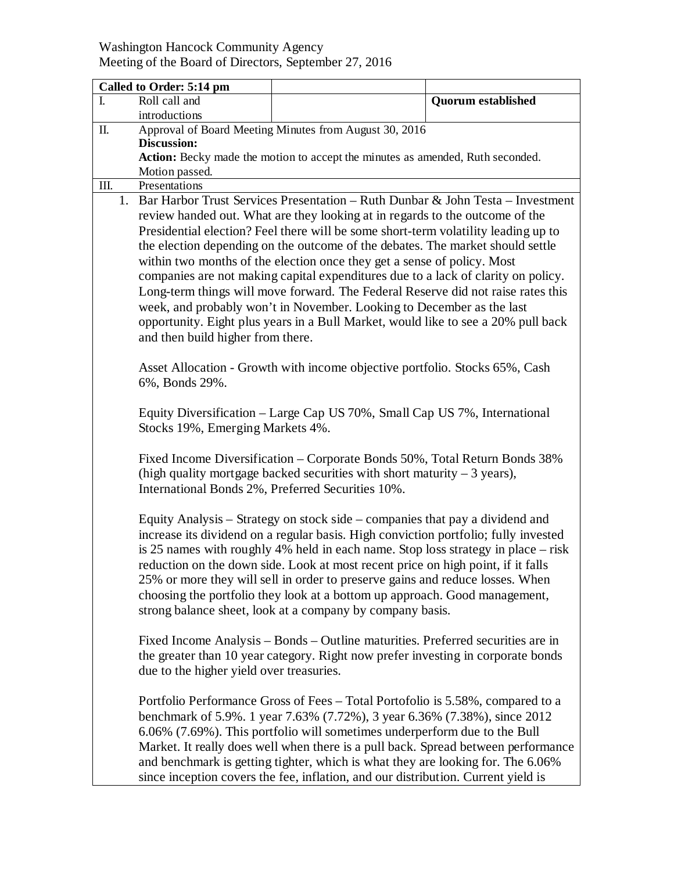## Washington Hancock Community Agency Meeting of the Board of Directors, September 27, 2016

| Called to Order: 5:14 pm |                                                                                                      |                                                                                     |                           |  |
|--------------------------|------------------------------------------------------------------------------------------------------|-------------------------------------------------------------------------------------|---------------------------|--|
| I.                       | Roll call and                                                                                        |                                                                                     | <b>Quorum established</b> |  |
|                          | introductions                                                                                        |                                                                                     |                           |  |
| Π.                       | Approval of Board Meeting Minutes from August 30, 2016                                               |                                                                                     |                           |  |
|                          | <b>Discussion:</b><br>Action: Becky made the motion to accept the minutes as amended, Ruth seconded. |                                                                                     |                           |  |
|                          | Motion passed.                                                                                       |                                                                                     |                           |  |
| III.                     | Presentations                                                                                        |                                                                                     |                           |  |
|                          |                                                                                                      | 1. Bar Harbor Trust Services Presentation – Ruth Dunbar & John Testa – Investment   |                           |  |
|                          | review handed out. What are they looking at in regards to the outcome of the                         |                                                                                     |                           |  |
|                          | Presidential election? Feel there will be some short-term volatility leading up to                   |                                                                                     |                           |  |
|                          | the election depending on the outcome of the debates. The market should settle                       |                                                                                     |                           |  |
|                          | within two months of the election once they get a sense of policy. Most                              |                                                                                     |                           |  |
|                          | companies are not making capital expenditures due to a lack of clarity on policy.                    |                                                                                     |                           |  |
|                          | Long-term things will move forward. The Federal Reserve did not raise rates this                     |                                                                                     |                           |  |
|                          | week, and probably won't in November. Looking to December as the last                                |                                                                                     |                           |  |
|                          | opportunity. Eight plus years in a Bull Market, would like to see a 20% pull back                    |                                                                                     |                           |  |
|                          | and then build higher from there.                                                                    |                                                                                     |                           |  |
|                          |                                                                                                      |                                                                                     |                           |  |
|                          | Asset Allocation - Growth with income objective portfolio. Stocks 65%, Cash                          |                                                                                     |                           |  |
|                          | 6%, Bonds 29%.                                                                                       |                                                                                     |                           |  |
|                          | Equity Diversification – Large Cap US 70%, Small Cap US 7%, International                            |                                                                                     |                           |  |
|                          | Stocks 19%, Emerging Markets 4%.                                                                     |                                                                                     |                           |  |
|                          |                                                                                                      |                                                                                     |                           |  |
|                          | Fixed Income Diversification – Corporate Bonds 50%, Total Return Bonds 38%                           |                                                                                     |                           |  |
|                          | (high quality mortgage backed securities with short maturity $-3$ years),                            |                                                                                     |                           |  |
|                          | International Bonds 2%, Preferred Securities 10%.                                                    |                                                                                     |                           |  |
|                          |                                                                                                      |                                                                                     |                           |  |
|                          | Equity Analysis – Strategy on stock side – companies that pay a dividend and                         |                                                                                     |                           |  |
|                          | increase its dividend on a regular basis. High conviction portfolio; fully invested                  |                                                                                     |                           |  |
|                          |                                                                                                      | is 25 names with roughly 4% held in each name. Stop loss strategy in place $-$ risk |                           |  |
|                          |                                                                                                      | reduction on the down side. Look at most recent price on high point, if it falls    |                           |  |
|                          |                                                                                                      | 25% or more they will sell in order to preserve gains and reduce losses. When       |                           |  |
|                          |                                                                                                      | choosing the portfolio they look at a bottom up approach. Good management,          |                           |  |
|                          |                                                                                                      | strong balance sheet, look at a company by company basis.                           |                           |  |
|                          |                                                                                                      | Fixed Income Analysis – Bonds – Outline maturities. Preferred securities are in     |                           |  |
|                          |                                                                                                      | the greater than 10 year category. Right now prefer investing in corporate bonds    |                           |  |
|                          | due to the higher yield over treasuries.                                                             |                                                                                     |                           |  |
|                          |                                                                                                      |                                                                                     |                           |  |
|                          |                                                                                                      | Portfolio Performance Gross of Fees – Total Portofolio is 5.58%, compared to a      |                           |  |
|                          | benchmark of 5.9%. 1 year 7.63% (7.72%), 3 year 6.36% (7.38%), since 2012                            |                                                                                     |                           |  |
|                          | 6.06% (7.69%). This portfolio will sometimes underperform due to the Bull                            |                                                                                     |                           |  |
|                          | Market. It really does well when there is a pull back. Spread between performance                    |                                                                                     |                           |  |
|                          |                                                                                                      | and benchmark is getting tighter, which is what they are looking for. The 6.06%     |                           |  |
|                          |                                                                                                      | since inception covers the fee, inflation, and our distribution. Current yield is   |                           |  |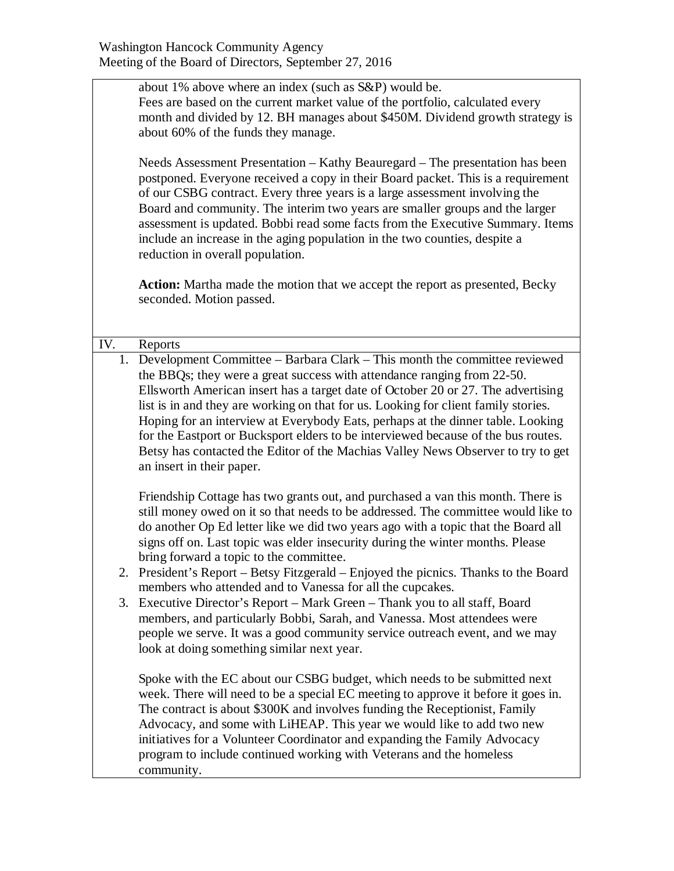about 1% above where an index (such as S&P) would be. Fees are based on the current market value of the portfolio, calculated every month and divided by 12. BH manages about \$450M. Dividend growth strategy is about 60% of the funds they manage.

Needs Assessment Presentation – Kathy Beauregard – The presentation has been postponed. Everyone received a copy in their Board packet. This is a requirement of our CSBG contract. Every three years is a large assessment involving the Board and community. The interim two years are smaller groups and the larger assessment is updated. Bobbi read some facts from the Executive Summary. Items include an increase in the aging population in the two counties, despite a reduction in overall population.

**Action:** Martha made the motion that we accept the report as presented, Becky seconded. Motion passed.

IV. Reports

1. Development Committee – Barbara Clark – This month the committee reviewed the BBQs; they were a great success with attendance ranging from 22-50. Ellsworth American insert has a target date of October 20 or 27. The advertising list is in and they are working on that for us. Looking for client family stories. Hoping for an interview at Everybody Eats, perhaps at the dinner table. Looking for the Eastport or Bucksport elders to be interviewed because of the bus routes. Betsy has contacted the Editor of the Machias Valley News Observer to try to get an insert in their paper.

Friendship Cottage has two grants out, and purchased a van this month. There is still money owed on it so that needs to be addressed. The committee would like to do another Op Ed letter like we did two years ago with a topic that the Board all signs off on. Last topic was elder insecurity during the winter months. Please bring forward a topic to the committee.

- 2. President's Report Betsy Fitzgerald Enjoyed the picnics. Thanks to the Board members who attended and to Vanessa for all the cupcakes.
- 3. Executive Director's Report Mark Green Thank you to all staff, Board members, and particularly Bobbi, Sarah, and Vanessa. Most attendees were people we serve. It was a good community service outreach event, and we may look at doing something similar next year.

Spoke with the EC about our CSBG budget, which needs to be submitted next week. There will need to be a special EC meeting to approve it before it goes in. The contract is about \$300K and involves funding the Receptionist, Family Advocacy, and some with LiHEAP. This year we would like to add two new initiatives for a Volunteer Coordinator and expanding the Family Advocacy program to include continued working with Veterans and the homeless community.